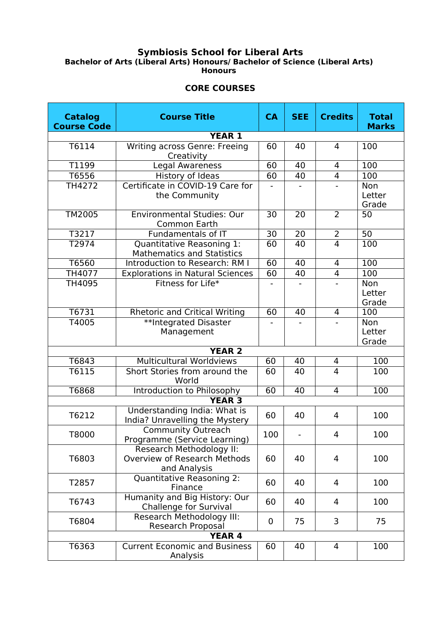## **Symbiosis School for Liberal Arts Bachelor of Arts (Liberal Arts) Honours/ Bachelor of Science (Liberal Arts) Honours**

## **CORE COURSES**

| <b>Catalog</b><br><b>Course Code</b> | <b>Course Title</b>                                                             | <b>CA</b>        | <b>SEE</b> | <b>Credits</b> | <b>Total</b><br><b>Marks</b> |  |  |  |  |
|--------------------------------------|---------------------------------------------------------------------------------|------------------|------------|----------------|------------------------------|--|--|--|--|
| <b>YEAR 1</b>                        |                                                                                 |                  |            |                |                              |  |  |  |  |
| T6114                                | Writing across Genre: Freeing<br>Creativity                                     | 60               | 40         | $\overline{4}$ | 100                          |  |  |  |  |
| T1199                                | Legal Awareness                                                                 | 60               | 40         | 4              | 100                          |  |  |  |  |
| T6556                                | History of Ideas                                                                | 60               | 40         | $\overline{4}$ | 100                          |  |  |  |  |
| TH4272                               | Certificate in COVID-19 Care for<br>the Community                               |                  |            |                | Non<br>Letter<br>Grade       |  |  |  |  |
| TM2005                               | <b>Environmental Studies: Our</b><br>Common Earth                               | 30               | 20         | $\overline{2}$ | 50                           |  |  |  |  |
| T3217                                | Fundamentals of IT                                                              | $\overline{30}$  | 20         | 2              | $\overline{50}$              |  |  |  |  |
| T2974                                | Quantitative Reasoning 1:<br><b>Mathematics and Statistics</b>                  | 60               | 40         | $\overline{4}$ | 100                          |  |  |  |  |
| T6560                                | Introduction to Research: RM I                                                  | 60               | 40         | 4              | 100                          |  |  |  |  |
| TH4077                               | <b>Explorations in Natural Sciences</b>                                         | 60               | 40         | $\overline{4}$ | 100                          |  |  |  |  |
| TH4095                               | Fitness for Life*                                                               |                  |            |                | Non<br>Letter<br>Grade       |  |  |  |  |
| T6731                                | <b>Rhetoric and Critical Writing</b>                                            | 60               | 40         | 4              | 100                          |  |  |  |  |
| T4005                                | **Integrated Disaster<br>Management                                             |                  |            |                | Non<br>Letter<br>Grade       |  |  |  |  |
| <b>YEAR 2</b>                        |                                                                                 |                  |            |                |                              |  |  |  |  |
| T6843                                | <b>Multicultural Worldviews</b>                                                 | 60               | 40         | 4              | 100                          |  |  |  |  |
| T6115                                | Short Stories from around the<br>World                                          | 60               | 40         | $\overline{4}$ | 100                          |  |  |  |  |
| T6868                                | Introduction to Philosophy                                                      | $\overline{60}$  | 40         | $\overline{4}$ | 100                          |  |  |  |  |
| <b>YEAR 3</b>                        |                                                                                 |                  |            |                |                              |  |  |  |  |
| T6212                                | Understanding India: What is<br>India? Unravelling the Mystery                  | 60               | 40         | 4              | 100                          |  |  |  |  |
| T8000                                | <b>Community Outreach</b><br>Programme (Service Learning)                       | 100              |            | 4              | 100                          |  |  |  |  |
| T6803                                | Research Methodology II:<br><b>Overview of Research Methods</b><br>and Analysis | 60               | 40         | $\overline{4}$ | 100                          |  |  |  |  |
| T2857                                | <b>Quantitative Reasoning 2:</b><br>Finance                                     | 60               | 40         | $\overline{4}$ | 100                          |  |  |  |  |
| T6743                                | Humanity and Big History: Our<br><b>Challenge for Survival</b>                  | 60               | 40         | 4              | 100                          |  |  |  |  |
| T6804                                | Research Methodology III:<br><b>Research Proposal</b>                           | $\boldsymbol{0}$ | 75         | 3              | 75                           |  |  |  |  |
| <b>YEAR 4</b>                        |                                                                                 |                  |            |                |                              |  |  |  |  |
| T6363                                | <b>Current Economic and Business</b><br>Analysis                                | 60               | 40         | $\overline{4}$ | 100                          |  |  |  |  |